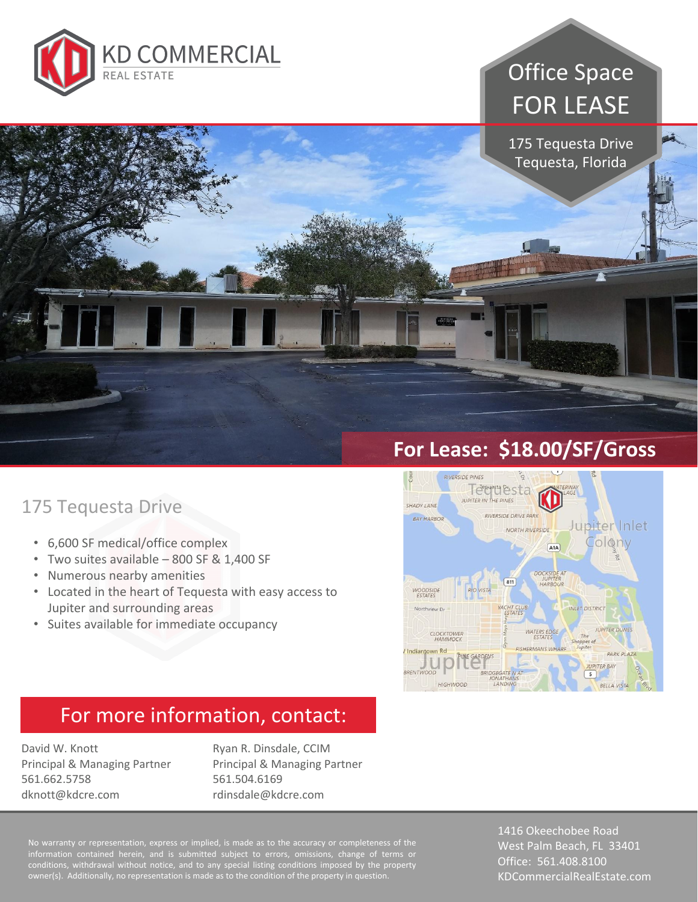

# Office Space FOR LEASE

175 Tequesta Drive Tequesta, Florida

### 175 Tequesta Drive

- 6,600 SF medical/office complex
- Two suites available 800 SF & 1,400 SF
- Numerous nearby amenities
- Located in the heart of Tequesta with easy access to Jupiter and surrounding areas
- Suites available for immediate occupancy

#### **For Lease: \$18.00/SF/Gross**



#### For more information, contact:

David W. Knott Principal & Managing Partner 561.662.5758 dknott@kdcre.com

Ryan R. Dinsdale, CCIM Principal & Managing Partner 561.504.6169 rdinsdale@kdcre.com

No warranty or representation, express or implied, is made as to the accuracy or completeness of the information contained herein, and is submitted subject to errors, omissions, change of terms or conditions, withdrawal without notice, and to any special listing conditions imposed by the property owner(s). Additionally, no representation is made as to the condition of the property in question.

1416 Okeechobee Road West Palm Beach, FL 33401 Office: 561.408.8100 KDCommercialRealEstate.com